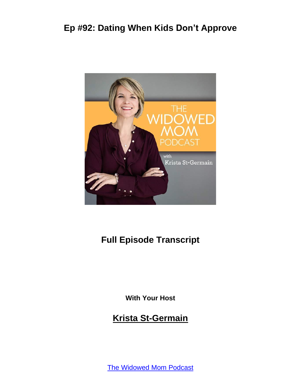

## **Full Episode Transcript**

**With Your Host**

#### **Krista St-Germain**

The [Widowed](https://coachingwithkrista.com/podcast) Mom Podcast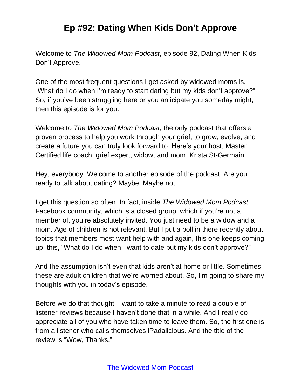Welcome to *The Widowed Mom Podcast*, episode 92, Dating When Kids Don't Approve.

One of the most frequent questions I get asked by widowed moms is, "What do I do when I'm ready to start dating but my kids don't approve?" So, if you've been struggling here or you anticipate you someday might, then this episode is for you.

Welcome to *The Widowed Mom Podcast*, the only podcast that offers a proven process to help you work through your grief, to grow, evolve, and create a future you can truly look forward to. Here's your host, Master Certified life coach, grief expert, widow, and mom, Krista St-Germain.

Hey, everybody. Welcome to another episode of the podcast. Are you ready to talk about dating? Maybe. Maybe not.

I get this question so often. In fact, inside *The Widowed Mom Podcast* Facebook community, which is a closed group, which if you're not a member of, you're absolutely invited. You just need to be a widow and a mom. Age of children is not relevant. But I put a poll in there recently about topics that members most want help with and again, this one keeps coming up, this, "What do I do when I want to date but my kids don't approve?"

And the assumption isn't even that kids aren't at home or little. Sometimes, these are adult children that we're worried about. So, I'm going to share my thoughts with you in today's episode.

Before we do that thought, I want to take a minute to read a couple of listener reviews because I haven't done that in a while. And I really do appreciate all of you who have taken time to leave them. So, the first one is from a listener who calls themselves iPadalicious. And the title of the review is "Wow, Thanks."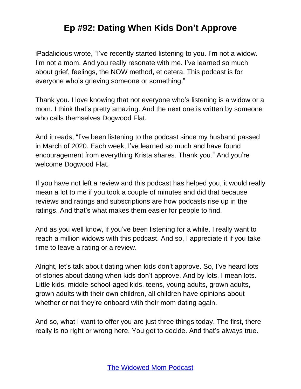iPadalicious wrote, "I've recently started listening to you. I'm not a widow. I'm not a mom. And you really resonate with me. I've learned so much about grief, feelings, the NOW method, et cetera. This podcast is for everyone who's grieving someone or something."

Thank you. I love knowing that not everyone who's listening is a widow or a mom. I think that's pretty amazing. And the next one is written by someone who calls themselves Dogwood Flat.

And it reads, "I've been listening to the podcast since my husband passed in March of 2020. Each week, I've learned so much and have found encouragement from everything Krista shares. Thank you." And you're welcome Dogwood Flat.

If you have not left a review and this podcast has helped you, it would really mean a lot to me if you took a couple of minutes and did that because reviews and ratings and subscriptions are how podcasts rise up in the ratings. And that's what makes them easier for people to find.

And as you well know, if you've been listening for a while, I really want to reach a million widows with this podcast. And so, I appreciate it if you take time to leave a rating or a review.

Alright, let's talk about dating when kids don't approve. So, I've heard lots of stories about dating when kids don't approve. And by lots, I mean lots. Little kids, middle-school-aged kids, teens, young adults, grown adults, grown adults with their own children, all children have opinions about whether or not they're onboard with their mom dating again.

And so, what I want to offer you are just three things today. The first, there really is no right or wrong here. You get to decide. And that's always true.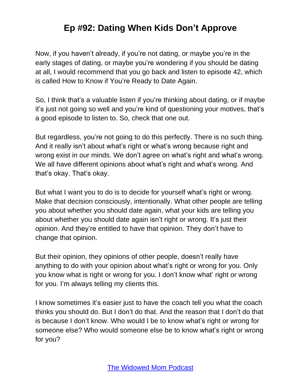Now, if you haven't already, if you're not dating, or maybe you're in the early stages of dating, or maybe you're wondering if you should be dating at all, I would recommend that you go back and listen to episode 42, which is called How to Know if You're Ready to Date Again.

So, I think that's a valuable listen if you're thinking about dating, or if maybe it's just not going so well and you're kind of questioning your motives, that's a good episode to listen to. So, check that one out.

But regardless, you're not going to do this perfectly. There is no such thing. And it really isn't about what's right or what's wrong because right and wrong exist in our minds. We don't agree on what's right and what's wrong. We all have different opinions about what's right and what's wrong. And that's okay. That's okay.

But what I want you to do is to decide for yourself what's right or wrong. Make that decision consciously, intentionally. What other people are telling you about whether you should date again, what your kids are telling you about whether you should date again isn't right or wrong. It's just their opinion. And they're entitled to have that opinion. They don't have to change that opinion.

But their opinion, they opinions of other people, doesn't really have anything to do with your opinion about what's right or wrong for you. Only you know what is right or wrong for you. I don't know what' right or wrong for you. I'm always telling my clients this.

I know sometimes it's easier just to have the coach tell you what the coach thinks you should do. But I don't do that. And the reason that I don't do that is because I don't know. Who would I be to know what's right or wrong for someone else? Who would someone else be to know what's right or wrong for you?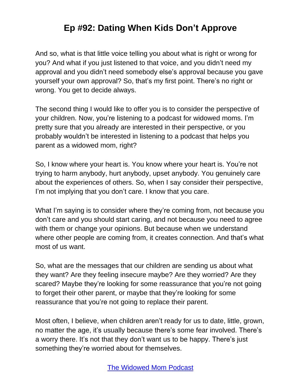And so, what is that little voice telling you about what is right or wrong for you? And what if you just listened to that voice, and you didn't need my approval and you didn't need somebody else's approval because you gave yourself your own approval? So, that's my first point. There's no right or wrong. You get to decide always.

The second thing I would like to offer you is to consider the perspective of your children. Now, you're listening to a podcast for widowed moms. I'm pretty sure that you already are interested in their perspective, or you probably wouldn't be interested in listening to a podcast that helps you parent as a widowed mom, right?

So, I know where your heart is. You know where your heart is. You're not trying to harm anybody, hurt anybody, upset anybody. You genuinely care about the experiences of others. So, when I say consider their perspective, I'm not implying that you don't care. I know that you care.

What I'm saying is to consider where they're coming from, not because you don't care and you should start caring, and not because you need to agree with them or change your opinions. But because when we understand where other people are coming from, it creates connection. And that's what most of us want.

So, what are the messages that our children are sending us about what they want? Are they feeling insecure maybe? Are they worried? Are they scared? Maybe they're looking for some reassurance that you're not going to forget their other parent, or maybe that they're looking for some reassurance that you're not going to replace their parent.

Most often, I believe, when children aren't ready for us to date, little, grown, no matter the age, it's usually because there's some fear involved. There's a worry there. It's not that they don't want us to be happy. There's just something they're worried about for themselves.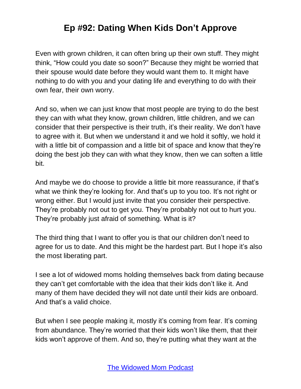Even with grown children, it can often bring up their own stuff. They might think, "How could you date so soon?" Because they might be worried that their spouse would date before they would want them to. It might have nothing to do with you and your dating life and everything to do with their own fear, their own worry.

And so, when we can just know that most people are trying to do the best they can with what they know, grown children, little children, and we can consider that their perspective is their truth, it's their reality. We don't have to agree with it. But when we understand it and we hold it softly, we hold it with a little bit of compassion and a little bit of space and know that they're doing the best job they can with what they know, then we can soften a little bit.

And maybe we do choose to provide a little bit more reassurance, if that's what we think they're looking for. And that's up to you too. It's not right or wrong either. But I would just invite that you consider their perspective. They're probably not out to get you. They're probably not out to hurt you. They're probably just afraid of something. What is it?

The third thing that I want to offer you is that our children don't need to agree for us to date. And this might be the hardest part. But I hope it's also the most liberating part.

I see a lot of widowed moms holding themselves back from dating because they can't get comfortable with the idea that their kids don't like it. And many of them have decided they will not date until their kids are onboard. And that's a valid choice.

But when I see people making it, mostly it's coming from fear. It's coming from abundance. They're worried that their kids won't like them, that their kids won't approve of them. And so, they're putting what they want at the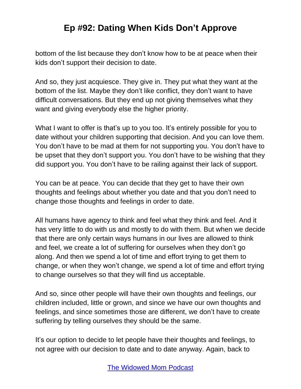bottom of the list because they don't know how to be at peace when their kids don't support their decision to date.

And so, they just acquiesce. They give in. They put what they want at the bottom of the list. Maybe they don't like conflict, they don't want to have difficult conversations. But they end up not giving themselves what they want and giving everybody else the higher priority.

What I want to offer is that's up to you too. It's entirely possible for you to date without your children supporting that decision. And you can love them. You don't have to be mad at them for not supporting you. You don't have to be upset that they don't support you. You don't have to be wishing that they did support you. You don't have to be railing against their lack of support.

You can be at peace. You can decide that they get to have their own thoughts and feelings about whether you date and that you don't need to change those thoughts and feelings in order to date.

All humans have agency to think and feel what they think and feel. And it has very little to do with us and mostly to do with them. But when we decide that there are only certain ways humans in our lives are allowed to think and feel, we create a lot of suffering for ourselves when they don't go along. And then we spend a lot of time and effort trying to get them to change, or when they won't change, we spend a lot of time and effort trying to change ourselves so that they will find us acceptable.

And so, since other people will have their own thoughts and feelings, our children included, little or grown, and since we have our own thoughts and feelings, and since sometimes those are different, we don't have to create suffering by telling ourselves they should be the same.

It's our option to decide to let people have their thoughts and feelings, to not agree with our decision to date and to date anyway. Again, back to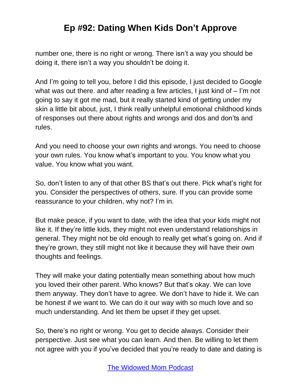number one, there is no right or wrong. There isn't a way you should be doing it, there isn't a way you shouldn't be doing it.

And I'm going to tell you, before I did this episode, I just decided to Google what was out there. and after reading a few articles, I just kind of – I'm not going to say it got me mad, but it really started kind of getting under my skin a little bit about, just, I think really unhelpful emotional childhood kinds of responses out there about rights and wrongs and dos and don'ts and rules.

And you need to choose your own rights and wrongs. You need to choose your own rules. You know what's important to you. You know what you value. You know what you want.

So, don't listen to any of that other BS that's out there. Pick what's right for you. Consider the perspectives of others, sure. If you can provide some reassurance to your children, why not? I'm in.

But make peace, if you want to date, with the idea that your kids might not like it. If they're little kids, they might not even understand relationships in general. They might not be old enough to really get what's going on. And if they're grown, they still might not like it because they will have their own thoughts and feelings.

They will make your dating potentially mean something about how much you loved their other parent. Who knows? But that's okay. We can love them anyway. They don't have to agree. We don't have to hide it. We can be honest if we want to. We can do it our way with so much love and so much understanding. And let them be upset if they get upset.

So, there's no right or wrong. You get to decide always. Consider their perspective. Just see what you can learn. And then. Be willing to let them not agree with you if you've decided that you're ready to date and dating is